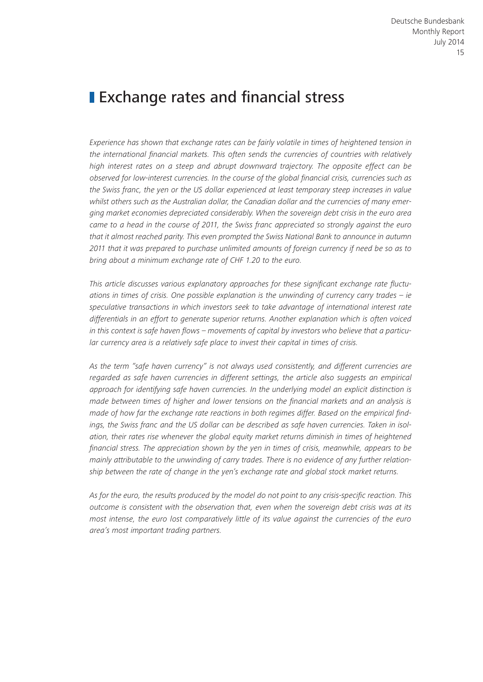# **Exchange rates and financial stress**

*Experience has shown that exchange rates can be fairly volatile in times of heightened tension in the international financial markets. This often sends the currencies of countries with relatively high interest rates on a steep and abrupt downward trajectory. The opposite effect can be observed for low-interest currencies. In the course of the global financial crisis, currencies such as the Swiss franc, the yen or the US dollar experienced at least temporary steep increases in value whilst others such as the Australian dollar, the Canadian dollar and the currencies of many emerging market economies depreciated considerably. When the sovereign debt crisis in the euro area came to a head in the course of 2011, the Swiss franc appreciated so strongly against the euro that it almost reached parity. This even prompted the Swiss National Bank to announce in autumn 2011 that it was prepared to purchase unlimited amounts of foreign currency if need be so as to bring about a minimum exchange rate of CHF 1.20 to the euro.*

*This article discusses various explanatory approaches for these significant exchange rate fluctuations in times of crisis. One possible explanation is the unwinding of currency carry trades – ie speculative transactions in which investors seek to take advantage of international interest rate differentials in an effort to generate superior returns. Another explanation which is often voiced in this context is safe haven flows – movements of capital by investors who believe that a particular currency area is a relatively safe place to invest their capital in times of crisis.*

*As the term "safe haven currency" is not always used consistently, and different currencies are regarded as safe haven currencies in different settings, the article also suggests an empirical approach for identifying safe haven currencies. In the underlying model an explicit distinction is made between times of higher and lower tensions on the financial markets and an analysis is made of how far the exchange rate reactions in both regimes differ. Based on the empirical findings, the Swiss franc and the US dollar can be described as safe haven currencies. Taken in isolation, their rates rise whenever the global equity market returns diminish in times of heightened financial stress. The appreciation shown by the yen in times of crisis, meanwhile, appears to be mainly attributable to the unwinding of carry trades. There is no evidence of any further relationship between the rate of change in the yen's exchange rate and global stock market returns.*

*As for the euro, the results produced by the model do not point to any crisis-specific reaction. This outcome is consistent with the observation that, even when the sovereign debt crisis was at its most intense, the euro lost comparatively little of its value against the currencies of the euro area's most important trading partners.*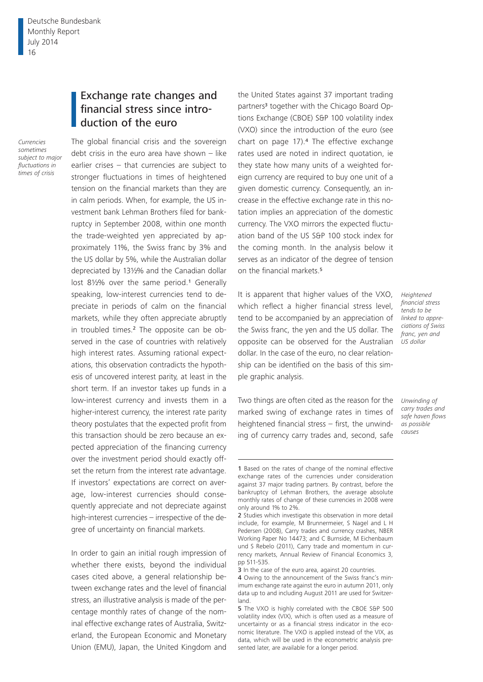## Exchange rate changes and financial stress since introduction of the euro

The global financial crisis and the sovereign

*Currencies sometimes subject to major fluctuations in times of crisis*

debt crisis in the euro area have shown  $-$  like earlier crises – that currencies are subject to stronger fluctuations in times of heightened tension on the financial markets than they are in calm periods. When, for example, the US investment bank Lehman Brothers filed for bankruptcy in September 2008, within one month the trade-weighted yen appreciated by approximately 11%, the Swiss franc by 3% and the US dollar by 5%, while the Australian dollar depreciated by 13½% and the Canadian dollar lost 81/2% over the same period.<sup>1</sup> Generally speaking, low-interest currencies tend to depreciate in periods of calm on the financial markets, while they often appreciate abruptly in troubled times.<sup>2</sup> The opposite can be observed in the case of countries with relatively high interest rates. Assuming rational expectations, this observation contradicts the hypothesis of uncovered interest parity, at least in the short term. If an investor takes up funds in a low-interest currency and invests them in a higher-interest currency, the interest rate parity theory postulates that the expected profit from this transaction should be zero because an expected appreciation of the financing currency over the investment period should exactly offset the return from the interest rate advantage. If investors' expectations are correct on average, low-interest currencies should consequently appreciate and not depreciate against high-interest currencies – irrespective of the degree of uncertainty on financial markets.

In order to gain an initial rough impression of whether there exists, beyond the individual cases cited above, a general relationship between exchange rates and the level of financial stress, an illustrative analysis is made of the percentage monthly rates of change of the nominal effective exchange rates of Australia, Switzerland, the European Economic and Monetary Union (EMU), Japan, the United Kingdom and

the United States against 37 important trading partners<sup>3</sup> together with the Chicago Board Options Exchange (CBOE) S&P 100 volatility index (VXO) since the introduction of the euro (see chart on page 17).4 The effective exchange rates used are noted in indirect quotation, ie they state how many units of a weighted foreign currency are required to buy one unit of a given domestic currency. Consequently, an increase in the effective exchange rate in this notation implies an appreciation of the domestic currency. The VXO mirrors the expected fluctuation band of the US S&P 100 stock index for the coming month. In the analysis below it serves as an indicator of the degree of tension on the financial markets.<sup>5</sup>

It is apparent that higher values of the VXO, which reflect a higher financial stress level, tend to be accompanied by an appreciation of the Swiss franc, the yen and the US dollar. The opposite can be observed for the Australian dollar. In the case of the euro, no clear relationship can be identified on the basis of this simple graphic analysis.

*Heightened financial stress tends to be linked to appreciations of Swiss franc, yen and US dollar*

*Unwinding of carry trades and safe haven flows as possible causes*

Two things are often cited as the reason for the marked swing of exchange rates in times of heightened financial stress – first, the unwinding of currency carry trades and, second, safe

<sup>1</sup> Based on the rates of change of the nominal effective exchange rates of the currencies under consideration against 37 major trading partners. By contrast, before the bankruptcy of Lehman Brothers, the average absolute monthly rates of change of these currencies in 2008 were only around 1% to 2%.

<sup>2</sup> Studies which investigate this observation in more detail include, for example, M Brunnermeier, S Nagel and L H Pedersen (2008), Carry trades and currency crashes, NBER Working Paper No 14473; and C Burnside, M Eichenbaum und S Rebelo (2011), Carry trade and momentum in currency markets, Annual Review of Financial Economics 3, pp 511-535.

<sup>3</sup> In the case of the euro area, against 20 countries.

<sup>4</sup> Owing to the announcement of the Swiss franc's minimum exchange rate against the euro in autumn 2011, only data up to and including August 2011 are used for Switzerland.

<sup>5</sup> The VXO is highly correlated with the CBOE S&P 500 volatility index (VIX), which is often used as a measure of uncertainty or as a financial stress indicator in the economic literature. The VXO is applied instead of the VIX, as data, which will be used in the econometric analysis presented later, are available for a longer period.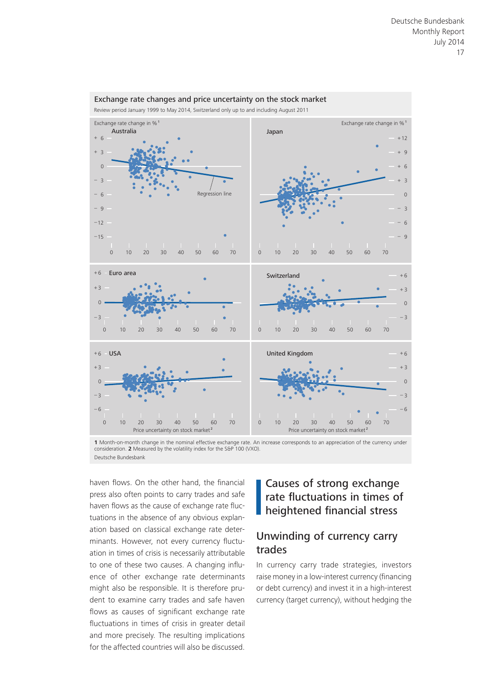

Exchange rate changes and price uncertainty on the stock market

**1** Month-on-month change in the nominal effective exchange rate. An increase corresponds to an appreciation of the currency under consideration. **2** Measured by the volatility index for the S&P 100 (VXO). Deutsche Bundesbank

haven flows. On the other hand, the financial press also often points to carry trades and safe haven flows as the cause of exchange rate fluctuations in the absence of any obvious explanation based on classical exchange rate determinants. However, not every currency fluctuation in times of crisis is necessarily attributable to one of these two causes. A changing influence of other exchange rate determinants might also be responsible. It is therefore prudent to examine carry trades and safe haven flows as causes of significant exchange rate fluctuations in times of crisis in greater detail and more precisely. The resulting implications for the affected countries will also be discussed.

# Causes of strong exchange rate fluctuations in times of heightened financial stress

### Unwinding of currency carry trades

In currency carry trade strategies, investors raise money in a low-interest currency (financing or debt currency) and invest it in a high-interest currency (target currency), without hedging the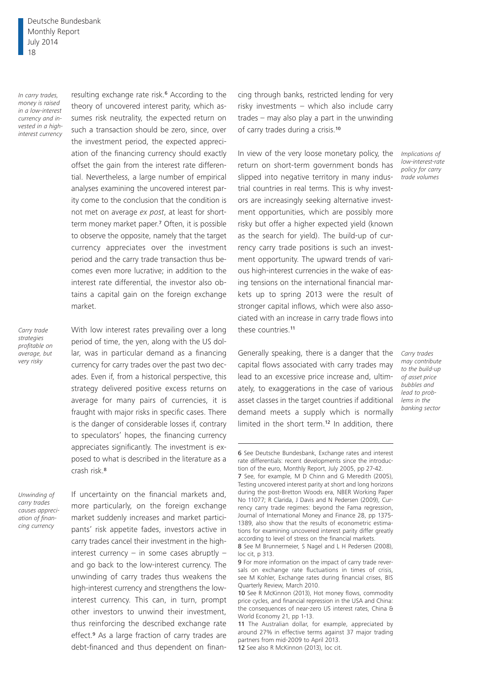Deutsche Bundesbank Monthly Report July 2014 18

*In carry trades, money is raised in a low-interest currency and invested in a highinterest currency* resulting exchange rate risk.6 According to the theory of uncovered interest parity, which assumes risk neutrality, the expected return on such a transaction should be zero, since, over the investment period, the expected appreciation of the financing currency should exactly offset the gain from the interest rate differential. Nevertheless, a large number of empirical analyses examining the uncovered interest parity come to the conclusion that the condition is not met on average *ex post*, at least for shortterm money market paper.7 Often, it is possible to observe the opposite, namely that the target currency appreciates over the investment period and the carry trade transaction thus becomes even more lucrative; in addition to the interest rate differential, the investor also obtains a capital gain on the foreign exchange market.

*Carry trade strategies profitable on average, but very risky*

With low interest rates prevailing over a long period of time, the yen, along with the US dollar, was in particular demand as a financing currency for carry trades over the past two decades. Even if, from a historical perspective, this strategy delivered positive excess returns on average for many pairs of currencies, it is fraught with major risks in specific cases. There is the danger of considerable losses if, contrary to speculators' hopes, the financing currency appreciates significantly. The investment is exposed to what is described in the literature as a crash risk.<sup>8</sup>

*Unwinding of carry trades causes appreciation of financing currency*

If uncertainty on the financial markets and, more particularly, on the foreign exchange market suddenly increases and market participants' risk appetite fades, investors active in carry trades cancel their investment in the highinterest currency – in some cases abruptly – and go back to the low-interest currency. The unwinding of carry trades thus weakens the high-interest currency and strengthens the lowinterest currency. This can, in turn, prompt other investors to unwind their investment, thus reinforcing the described exchange rate effect.<sup>9</sup> As a large fraction of carry trades are debt-financed and thus dependent on financing through banks, restricted lending for very risky investments – which also include carry trades – may also play a part in the unwinding of carry trades during a crisis.<sup>10</sup>

In view of the very loose monetary policy, the return on short-term government bonds has slipped into negative territory in many industrial countries in real terms. This is why investors are increasingly seeking alternative investment opportunities, which are possibly more risky but offer a higher expected yield (known as the search for yield). The build-up of currency carry trade positions is such an investment opportunity. The upward trends of various high-interest currencies in the wake of easing tensions on the international financial markets up to spring 2013 were the result of stronger capital inflows, which were also associated with an increase in carry trade flows into these countries.<sup>11</sup>

Generally speaking, there is a danger that the capital flows associated with carry trades may lead to an excessive price increase and, ultimately, to exaggerations in the case of various asset classes in the target countries if additional demand meets a supply which is normally limited in the short term.<sup>12</sup> In addition, there

*banking sector*

*Implications of low-interest-rate policy for carry trade volumes*

*Carry trades may contribute to the build-up of asset price bubbles and lead to problems in the* 

<sup>6</sup> See Deutsche Bundesbank, Exchange rates and interest rate differentials: recent developments since the introduction of the euro, Monthly Report, July 2005, pp 27-42.

<sup>7</sup> See, for example, M D Chinn and G Meredith (2005), Testing uncovered interest parity at short and long horizons during the post-Bretton Woods era, NBER Working Paper No 11077; R Clarida, J Davis and N Pedersen (2009), Currency carry trade regimes: beyond the Fama regression, Journal of International Money and Finance 28, pp 1375- 1389, also show that the results of econometric estimations for examining uncovered interest parity differ greatly according to level of stress on the financial markets.

<sup>8</sup> See M Brunnermeier, S Nagel and L H Pedersen (2008), loc cit, p 313.

<sup>9</sup> For more information on the impact of carry trade reversals on exchange rate fluctuations in times of crisis, see M Kohler, Exchange rates during financial crises, BIS Quarterly Review, March 2010.

<sup>10</sup> See R McKinnon (2013), Hot money flows, commodity price cycles, and financial repression in the USA and China: the consequences of near-zero US interest rates, China & World Economy 21, pp 1-13.

<sup>11</sup> The Australian dollar, for example, appreciated by around 27% in effective terms against 37 major trading partners from mid-2009 to April 2013. 12 See also R McKinnon (2013), loc cit.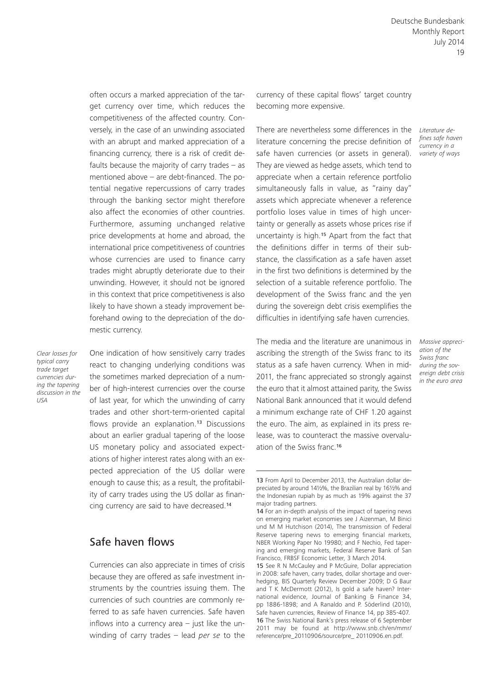often occurs a marked appreciation of the target currency over time, which reduces the competitiveness of the affected country. Conversely, in the case of an unwinding associated with an abrupt and marked appreciation of a financing currency, there is a risk of credit defaults because the majority of carry trades – as mentioned above – are debt-financed. The potential negative repercussions of carry trades through the banking sector might therefore also affect the economies of other countries. Furthermore, assuming unchanged relative price developments at home and abroad, the international price competitiveness of countries whose currencies are used to finance carry trades might abruptly deteriorate due to their unwinding. However, it should not be ignored in this context that price competitiveness is also likely to have shown a steady improvement beforehand owing to the depreciation of the domestic currency.

*Clear losses for typical carry trade target currencies during the tapering discussion in the USA*

One indication of how sensitively carry trades react to changing underlying conditions was the sometimes marked depreciation of a number of high-interest currencies over the course of last year, for which the unwinding of carry trades and other short-term-oriented capital flows provide an explanation.<sup>13</sup> Discussions about an earlier gradual tapering of the loose US monetary policy and associated expectations of higher interest rates along with an expected appreciation of the US dollar were enough to cause this; as a result, the profitability of carry trades using the US dollar as financing currency are said to have decreased.<sup>14</sup>

#### Safe haven flows

Currencies can also appreciate in times of crisis because they are offered as safe investment instruments by the countries issuing them. The currencies of such countries are commonly referred to as safe haven currencies. Safe haven inflows into a currency area – just like the unwinding of carry trades – lead *per se* to the currency of these capital flows' target country becoming more expensive.

There are nevertheless some differences in the *Literature de*literature concerning the precise definition of safe haven currencies (or assets in general). They are viewed as hedge assets, which tend to appreciate when a certain reference portfolio simultaneously falls in value, as "rainy day" assets which appreciate whenever a reference portfolio loses value in times of high uncertainty or generally as assets whose prices rise if uncertainty is high.15 Apart from the fact that the definitions differ in terms of their substance, the classification as a safe haven asset in the first two definitions is determined by the selection of a suitable reference portfolio. The development of the Swiss franc and the yen during the sovereign debt crisis exemplifies the difficulties in identifying safe haven currencies.

The media and the literature are unanimous in ascribing the strength of the Swiss franc to its status as a safe haven currency. When in mid-2011, the franc appreciated so strongly against the euro that it almost attained parity, the Swiss National Bank announced that it would defend a minimum exchange rate of CHF 1.20 against the euro. The aim, as explained in its press release, was to counteract the massive overvaluation of the Swiss franc.<sup>16</sup>

*fines safe haven currency in a variety of ways*

*Massive appreciation of the Swiss franc during the sovereign debt crisis in the euro area*

<sup>13</sup> From April to December 2013, the Australian dollar depreciated by around 14½%, the Brazilian real by 16½% and the Indonesian rupiah by as much as 19% against the 37 major trading partners.

<sup>14</sup> For an in-depth analysis of the impact of tapering news on emerging market economies see J Aizenman, M Binici und M M Hutchison (2014), The transmission of Federal Reserve tapering news to emerging financial markets, NBER Working Paper No 19980; and F Nechio, Fed tapering and emerging markets, Federal Reserve Bank of San Francisco, FRBSF Economic Letter, 3 March 2014.

<sup>15</sup> See R N McCauley and P McGuire, Dollar appreciation in 2008: safe haven, carry trades, dollar shortage and overhedging, BIS Quarterly Review December 2009; D G Baur and T K McDermott (2012), Is gold a safe haven? International evidence, Journal of Banking & Finance 34, pp 1886-1898; and A Ranaldo and P. Söderlind (2010), Safe haven currencies, Review of Finance 14, pp 385-407. 16 The Swiss National Bank's press release of 6 September [2011 may be found at http://www.snb.ch/en/mmr/](http://www.snb.ch/en/mmr/reference/pre_20110906/source/pre_ 20110906.en.pdf) reference/pre\_20110906/source/pre\_ 20110906.en.pdf.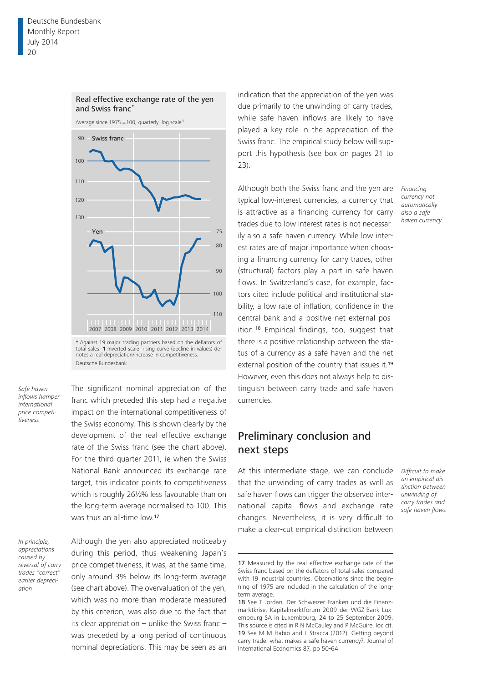

Real effective exchange rate of the yen

**\*** Against 19 major trading partners based on the deflators of total sales. **1** Inverted scale: rising curve (decline in values) denotes a real depreciation/increase in competitiveness. Deutsche Bundesbank

*Safe haven inflows hamper international price competitiveness*

The significant nominal appreciation of the franc which preceded this step had a negative impact on the international competitiveness of the Swiss economy. This is shown clearly by the development of the real effective exchange rate of the Swiss franc (see the chart above). For the third quarter 2011, ie when the Swiss National Bank announced its exchange rate target, this indicator points to competitiveness which is roughly 26½% less favourable than on the long-term average normalised to 100. This was thus an all-time low.<sup>17</sup>

*In principle, appreciations caused by reversal of carry trades "correct" earlier depreciation*

Although the yen also appreciated noticeably during this period, thus weakening Japan's price competitiveness, it was, at the same time, only around 3% below its long-term average (see chart above). The overvaluation of the yen, which was no more than moderate measured by this criterion, was also due to the fact that its clear appreciation – unlike the Swiss franc – was preceded by a long period of continuous nominal depreciations. This may be seen as an

indication that the appreciation of the yen was due primarily to the unwinding of carry trades, while safe haven inflows are likely to have played a key role in the appreciation of the Swiss franc. The empirical study below will support this hypothesis (see box on pages 21 to 23).

Although both the Swiss franc and the yen are typical low-interest currencies, a currency that is attractive as a financing currency for carry trades due to low interest rates is not necessarily also a safe haven currency. While low interest rates are of major importance when choosing a financing currency for carry trades, other (structural) factors play a part in safe haven flows. In Switzerland's case, for example, factors cited include political and institutional stability, a low rate of inflation, confidence in the central bank and a positive net external position.18 Empirical findings, too, suggest that there is a positive relationship between the status of a currency as a safe haven and the net external position of the country that issues it.<sup>19</sup> However, even this does not always help to distinguish between carry trade and safe haven currencies.

#### Preliminary conclusion and next steps

At this intermediate stage, we can conclude that the unwinding of carry trades as well as safe haven flows can trigger the observed international capital flows and exchange rate changes. Nevertheless, it is very difficult to make a clear-cut empirical distinction between

*Difficult to make an empirical distinction between unwinding of carry trades and safe haven flows*

*Financing currency not automatically also a safe haven currency*

<sup>17</sup> Measured by the real effective exchange rate of the Swiss franc based on the deflators of total sales compared with 19 industrial countries. Observations since the beginning of 1975 are included in the calculation of the longterm average.

<sup>18</sup> See T Jordan, Der Schweizer Franken und die Finanzmarktkrise, Kapitalmarktforum 2009 der WGZ-Bank Luxembourg SA in Luxembourg, 24 to 25 September 2009. This source is cited in R N McCauley and P McGuire, loc cit. 19 See M M Habib and L Stracca (2012), Getting beyond carry trade: what makes a safe haven currency?, Journal of International Economics 87, pp 50-64.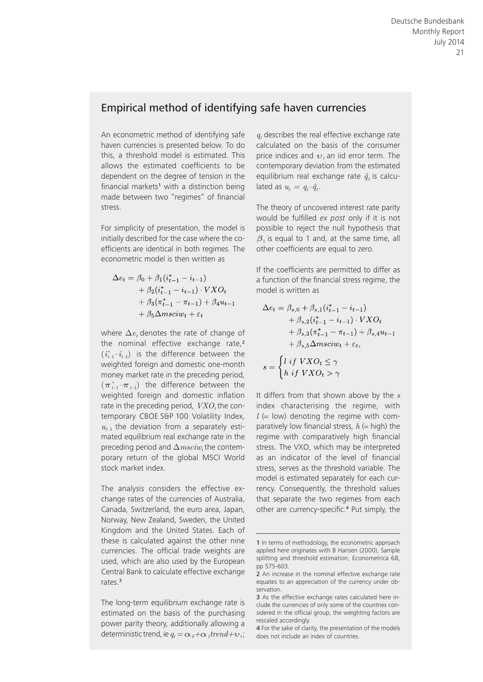#### Empirical method of identifying safe haven currencies

An econometric method of identifying safe haven currencies is presented below. To do this, a threshold model is estimated. This allows the estimated coefficients to be dependent on the degree of tension in the financial markets<sup>1</sup> with a distinction being made between two "regimes" of financial stress.

For simplicity of presentation, the model is initially described for the case where the coefficients are identical in both regimes. The econometric model is then written as

$$
\Delta e_t = \beta_0 + \beta_1 (i_{t-1}^* - i_{t-1})
$$
  
+ 
$$
\beta_2 (i_{t-1}^* - i_{t-1}) \cdot VXO_t
$$
  
+ 
$$
\beta_3 (\pi_{t-1}^* - \pi_{t-1}) + \beta_4 u_{t-1}
$$
  
+ 
$$
\beta_5 \Delta msciw_t + \varepsilon_t
$$

where  $\Delta e_t$  denotes the rate of change of the nominal effective exchange rate.<sup>2</sup>  $(i_{t-1}^* - i_{t-1})$  is the difference between the weighted foreign and domestic one-month money market rate in the preceding period,  $(\boldsymbol{\pi}_{t-1}^*-\boldsymbol{\pi}_{t-1})$  the difference between the weighted foreign and domestic inflation rate in the preceding period,  $VXO_t$  the contemporary CBOE S&P 100 Volatility Index,  $u_{t-1}$  the deviation from a separately estimated equilibrium real exchange rate in the preceding period and  $\Delta msciw_t$  the contemporary return of the global MSCI World stock market index.

The analysis considers the effective exchange rates of the currencies of Australia, Canada, Switzerland, the euro area, Japan, Norway, New Zealand, Sweden, the United Kingdom and the United States. Each of these is calculated against the other nine currencies. The official trade weights are used, which are also used by the European Central Bank to calculate effective exchange rates.<sup>3</sup>

The long-term equilibrium exchange rate is estimated on the basis of the purchasing power parity theory, additionally allowing a deterministic trend, ie  $q_t = \alpha_{\theta} + \alpha_{\theta} t^{t}$ 

 $q_t$  describes the real effective exchange rate calculated on the basis of the consumer price indices and  $v<sub>t</sub>$  an iid error term. The contemporary deviation from the estimated equilibrium real exchange rate  $\hat{q}_t$  is calculated as  $u_t = q_t - \hat{q}_t$ .

The theory of uncovered interest rate parity would be fulfilled *ex post* only if it is not possible to reject the null hypothesis that  $\beta_1$  is equal to 1 and, at the same time, all other coefficients are equal to zero.

If the coefficients are permitted to differ as a function of the financial stress regime, the model is written as

$$
\Delta e_t = \beta_{s,0} + \beta_{s,1}(i_{t-1}^* - i_{t-1})
$$
  
+ 
$$
\beta_{s,2}(i_{t-1}^* - i_{t-1}) \cdot VXO_t
$$
  
+ 
$$
\beta_{s,3}(\pi_{t-1}^* - \pi_{t-1}) + \beta_{s,4}u_{t-1}
$$
  
+ 
$$
\beta_{s,5}\Delta msciw_t + \varepsilon_t,
$$
  

$$
s = \begin{cases} l \text{ if } VXO_t \leq \gamma \\ h \text{ if } VXO_t > \gamma \end{cases}
$$

It differs from that shown above by the *s* index characterising the regime, with  $l =$  low) denoting the regime with comparatively low financial stress,  $h$  (= high) the regime with comparatively high financial stress. The VXO, which may be interpreted as an indicator of the level of financial stress, serves as the threshold variable. The model is estimated separately for each currency. Consequently, the threshold values that separate the two regimes from each other are currency-specific.<sup>4</sup> Put simply, the

<sup>1</sup> In terms of methodology, the econometric approach applied here originates with B Hansen (2000), Sample splitting and threshold estimation, Econometrica 68, pp 575-603.

<sup>2</sup> An increase in the nominal effective exchange rate equates to an appreciation of the currency under observation.

<sup>3</sup> As the effective exchange rates calculated here include the currencies of only some of the countries considered in the official group, the weighting factors are rescaled accordingly.

<sup>4</sup> For the sake of clarity, the presentation of the models does not include an index of countries.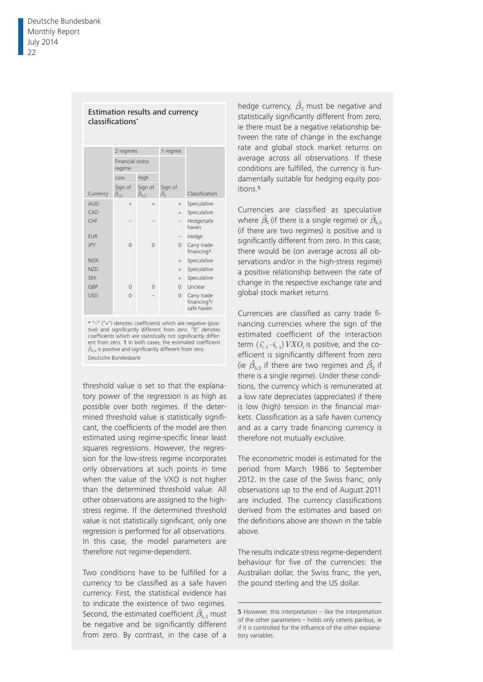|                  | 2 regimes                         |                                | 1 regime                   |                                          |
|------------------|-----------------------------------|--------------------------------|----------------------------|------------------------------------------|
|                  | <b>Financial stress</b><br>regime |                                |                            |                                          |
|                  | <b>Low</b>                        | High                           |                            |                                          |
| Currency         | Sign of<br>$\hat{\beta}_{15}$     | Sign of<br>$\hat{\beta}_{h,5}$ | Sign of<br>$\hat{\beta_5}$ | Classification                           |
| <b>AUD</b>       | $+$                               | $+$                            | $+$                        | Speculative                              |
| CAD              |                                   |                                | $+$                        | Speculative                              |
| CHF              |                                   |                                |                            | Hedge/safe<br>haven                      |
| <b>EUR</b>       |                                   |                                |                            | Hedge                                    |
| <b>JPY</b>       | $\Omega$                          | $\Omega$                       | $\Omega$                   | Carry trade<br>financing1                |
| <b>NOK</b>       |                                   |                                | $+$                        | Speculative                              |
| N <sub>7</sub> D |                                   |                                | $+$                        | Speculative                              |
| <b>SFK</b>       |                                   |                                | $+$                        | Speculative                              |
| GBP              | $\Omega$                          | $\Omega$                       | $\Omega$                   | Unclear                                  |
| <b>USD</b>       | $\Omega$                          |                                | $\Omega$                   | Carry trade<br>financing1/<br>safe haven |

Estimation results and currency

classifications<sup>\*</sup>

<sup>2</sup> – (+) denotes coefficients which are negative (positive) and significantly different from zero. "0" denotes coefficients which are statistically not significantly differ- $\hat{\beta}_{h,2}$  is positive and significantly different from zero. Deutsche Bundesbank and deutsche Bundesbank \* "-" ("+") denotes coefficients which are negative (posient from zero. 1 In both cases, the estimated coefficient

threshold value is set so that the explanafrom a tory power of the regression is as high as possible over both regimes. If the detercant, the coefficients of the model are then and as a carry trade financing currency is manufacturing, mining and quarrying, energy and water supply, disposal, construction, trade, transportation and storage, accommodaestimated using regime-specific linear least therefore not mutually exclusive. squares regressions. However, the regression for the low-stress regime incorporates mined threshold value is statistically significant, the coefficients of the model are then only observations at such points in time when the value of the VXO is not higher than the determined threshold value. All other observations are assigned to the highstress regime. If the determined threshold value is not statistically significant, only one regression is performed for all observations. In this case, the model parameters are therefore not regime- dependent.

Two conditions have to be fulfilled for a currency to be classified as a safe haven currency. First, the statistical evidence has to indicate the existence of two regimes. Second, the estimated coefficient  $\beta_{h,5}$  must be negative and be significantly different from zero. By contrast, in the case of a

**Balance is not-finance of listed and compared with the extrapolate separate separate separate separate separate separate separate separate separate separate separate separate separate separate separate separate separate** conditions are fulfilled, the currency is fundamentally suitable for hedging equity posstatistically significantly different from zero, ie there must be a negative relationship between the rate of change in the exchange rate and global stock market returns on average across all observations. If these itions.<sup>5</sup>

> Currencies are classified as speculative significantly different from zero. In this case,  $\overline{\mathcal{L}}$ there would be (on average across all observations and/or in the high-stress regime) a positive relationship between the rate of change in the respective exchange rate and global stock market returns. where  $\hat{\beta}_{5}$  (if there is a single regime) or  $\hat{\beta}_{h,5}$ (if there are two regimes) is positive and is

> estimated coefficient of the interaction term  $(i^*_{t-1}-i_{t-1})$   $VXO_t$  is positive, and the cofficiont is significantly difforant from zoro efficient is significantly different from zero (ie  $\hat{\beta}_{h,2}$  if there are two regimes and  $\hat{\beta}_2$  if there is a single regime). Under these conditions, the currency which is remunerated at a low rate depreciates (appreciates) if there is low (high) tension in the financial mar-Currencies are classified as carry trade financing currencies where the sign of the kets. Classification as a safe haven currency therefore not mutually exclusive.

The econometric model is estimated for the period from March 1986 to September 2012. In the case of the Swiss franc, only observations up to the end of August 2011 are included. The currency classifications derived from the estimates and based on the definitions above are shown in the table above.

The results indicate stress regime- dependent behaviour for five of the currencies: the Australian dollar, the Swiss franc, the yen, the pound sterling and the US dollar.

<sup>5</sup> However, this interpretation – like the interpretation of the other parameters – holds only ceteris paribus, ie if it is controlled for the influence of the other explanatory variables.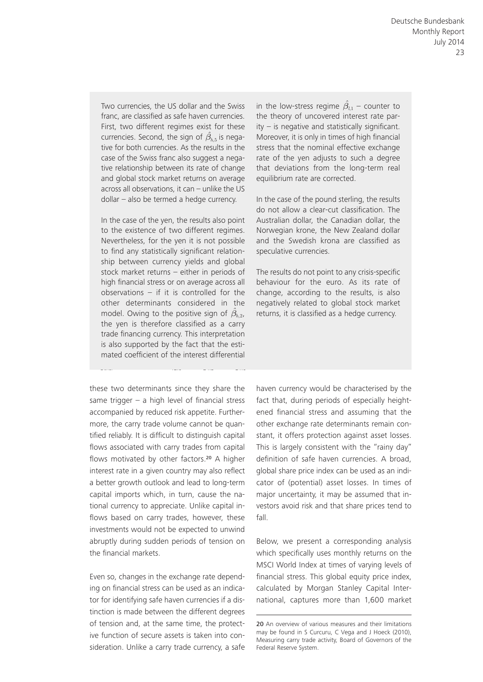Two currencies, the US dollar and the Swiss case of the Swiss franc also suggest a nega-Assets statements porations enterprises  $\sum$ and global stock market returns on average across all observations, it can - unlike the US tive relationship between its rate of change dollar – also be termed a hedge currency. franc, are classified as safe haven currencies. First, two different regimes exist for these currencies. Second, the sign of  $\hat{\beta}_{h}$  is negative for both currencies. As the results in the

Intangible assets 19.9 2.5 2.2 In the case of the yen, the results also point to the existence of two different regimes. Nevertheless, for the yen it is not possible to find any statistically significant relationship between currency yields and global  $\mathbb{F}$  is settled in stock market returns – either in periods of high financial stress or on average across all Loans to affi liated observations  $-$  if it is controlled for the other determinants considered in the the yen is therefore classified as a carry trade financing currency. This interpretation is also supported by the fact that the estimated coefficient of the interest differential model. Owing to the positive sign of  $\hat{\beta}_{h,2}$ ,

these two determinants since they share the same trigger  $-$  a high level of financial stress accompanied by reduced risk appetite. Furthermore, the carry trade volume cannot be quan- other exchange rate determinants remain cor tified reliably. It is difficult to distinguish capital stant, it offers protection against asset losse flows associated with carry trades from capital This is largely flows motivated by other factors.<sup>20</sup> A higher interest rate in a given country may also reflect a better growth outlook and lead to long-term capital imports which, in turn, cause the national currency to appreciate. Unlike capital inflows based on carry trades, however, these investments would not be expected to unwind abruptly during sudden periods of tension on the financial markets. from affi

Even so, changes in the exchange rate depending on financial stress can be used as an indicator for identifying safe haven currencies if a distinction is made between the different degrees of tension and, at the same time, the protective function of secure assets is taken into consideration. Unlike a carry trade currency, a safe

Two currencies, the US dollar and the Swiss in the low-stress regime  $\hat{\beta}_{l,1}$  – counter to Consoliequilibrium rate are corrected. that deviations from the long-term real the theory of uncovered interest rate par $ity - is negative$  and statistically significant. Moreover, it is only in times of high financial stress that the nominal effective exchange rate of the yen adjusts to such a degree

> In the case of the pound sterling, the results do not allow a clear-cut classification. The and the Swedish krona are classified as noculativ speculative currencies. Australian dollar, the Canadian dollar, the Norwegian krone, the New Zealand dollar

> The results do not point to any crisis-specific behaviour for the euro. As its rate of change, according to the results, is also negatively related to global stock market returns, it is classified as a hedge currency.

haven currency would be characterised by the fact that, during periods of especially heightened financial stress and assuming that the other exchange rate determinants remain constant, it offers protection against asset losses. ows associated with carry trades from capital This is largely consistent with the "rainy day" definition of safe haven currencies. A broad, global share price index can be used as an indicator of (potential) asset losses. In times of major uncertainty, it may be assumed that investors avoid risk and that share prices tend to fall.

> Below, we present a corresponding analysis which specifically uses monthly returns on the MSCI World Index at times of varying levels of financial stress. This global equity price index, calculated by Morgan Stanley Capital International, captures more than 1,600 market

<sup>20</sup> An overview of various measures and their limitations may be found in S Curcuru, C Vega and J Hoeck (2010), Measuring carry trade activity, Board of Governors of the Federal Reserve System.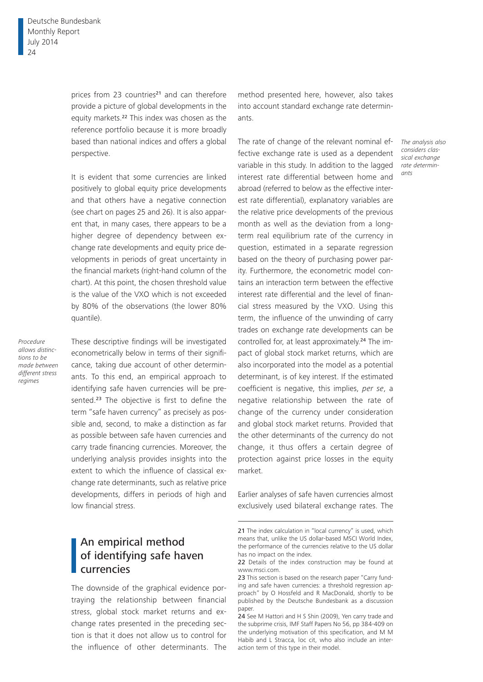prices from 23 countries<sup>21</sup> and can therefore provide a picture of global developments in the equity markets.22 This index was chosen as the reference portfolio because it is more broadly based than national indices and offers a global perspective.

It is evident that some currencies are linked positively to global equity price developments and that others have a negative connection (see chart on pages 25 and 26). It is also apparent that, in many cases, there appears to be a higher degree of dependency between exchange rate developments and equity price developments in periods of great uncertainty in the financial markets (right-hand column of the chart). At this point, the chosen threshold value is the value of the VXO which is not exceeded by 80% of the observations (the lower 80% quantile).

*Procedure allows distinctions to be made between different stress regimes*

These descriptive findings will be investigated econometrically below in terms of their significance, taking due account of other determinants. To this end, an empirical approach to identifying safe haven currencies will be presented.<sup>23</sup> The objective is first to define the term "safe haven currency" as precisely as possible and, second, to make a distinction as far as possible between safe haven currencies and carry trade financing currencies. Moreover, the underlying analysis provides insights into the extent to which the influence of classical exchange rate determinants, such as relative price developments, differs in periods of high and low financial stress.

# An empirical method of identifying safe haven currencies

The downside of the graphical evidence portraying the relationship between financial stress, global stock market returns and exchange rates presented in the preceding section is that it does not allow us to control for the influence of other determinants. The

method presented here, however, also takes into account standard exchange rate determinants.

The rate of change of the relevant nominal effective exchange rate is used as a dependent variable in this study. In addition to the lagged interest rate differential between home and abroad (referred to below as the effective interest rate differential), explanatory variables are the relative price developments of the previous month as well as the deviation from a longterm real equilibrium rate of the currency in question, estimated in a separate regression based on the theory of purchasing power parity. Furthermore, the econometric model contains an interaction term between the effective interest rate differential and the level of financial stress measured by the VXO. Using this term, the influence of the unwinding of carry trades on exchange rate developments can be controlled for, at least approximately.24 The impact of global stock market returns, which are also incorporated into the model as a potential determinant, is of key interest. If the estimated coefficient is negative, this implies, *per se*, a negative relationship between the rate of change of the currency under consideration and global stock market returns. Provided that the other determinants of the currency do not change, it thus offers a certain degree of protection against price losses in the equity market.

Earlier analyses of safe haven currencies almost exclusively used bilateral exchange rates. The

*The analysis also considers classical exchange rate determinants*

<sup>21</sup> The index calculation in "local currency" is used, which means that, unlike the US dollar-based MSCI World Index, the performance of the currencies relative to the US dollar has no impact on the index.

<sup>22</sup> Details of the index construction may be found at www.msci.com.

<sup>23</sup> This section is based on the research paper "Carry funding and safe haven currencies: a threshold regression approach" by O Hossfeld and R MacDonald, shortly to be published by the Deutsche Bundesbank as a discussion paper.

<sup>24</sup> See M Hattori and H S Shin (2009), Yen carry trade and the subprime crisis, IMF Staff Papers No 56, pp 384-409 on the underlying motivation of this specification, and M M Habib and L Stracca, loc cit, who also include an interaction term of this type in their model.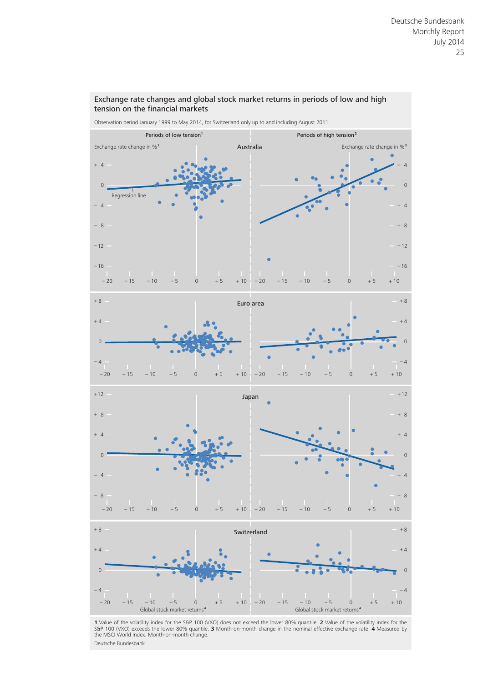

Exchange rate changes and global stock market returns in periods of low and high tension on the financial markets

**1** Value of the volatility index for the S&P 100 (VXO) does not exceed the lower 80% quantile. **2** Value of the volatility index for the S&P 100 (VXO) exceeds the lower 80% quantile. **3** Month-on-month change in the nominal effective exchange rate. 4 Measured by<br>the MSCI World Index. Month-on-month change. Deutsche Bundesbank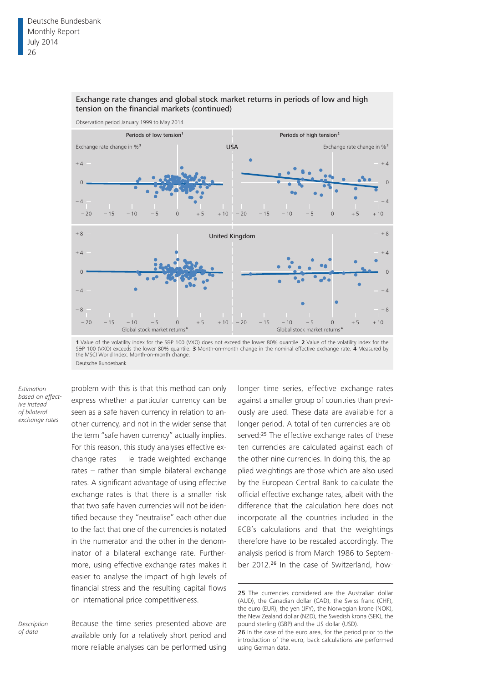

#### Exchange rate changes and global stock market returns in periods of low and high tension on the financial markets (continued)

**1** Value of the volatility index for the S&P 100 (VXO) does not exceed the lower 80% quantile. **2** Value of the volatility index for the S&P 100 (VXO) exceeds the lower 80% quantile. **3** Month-on-month change in the nominal effective exchange rate. **4** Measured by the MSCI World Index. Month-on-month change. Deutsche Bundesbank

*Estimation based on effective instead of bilateral exchange rates*

problem with this is that this method can only express whether a particular currency can be seen as a safe haven currency in relation to another currency, and not in the wider sense that the term "safe haven currency" actually implies. For this reason, this study analyses effective exchange rates – ie trade-weighted exchange rates – rather than simple bilateral exchange rates. A significant advantage of using effective exchange rates is that there is a smaller risk that two safe haven currencies will not be identified because they "neutralise" each other due to the fact that one of the currencies is notated in the numerator and the other in the denominator of a bilateral exchange rate. Furthermore, using effective exchange rates makes it easier to analyse the impact of high levels of financial stress and the resulting capital flows on international price competitiveness.

longer time series, effective exchange rates against a smaller group of countries than previously are used. These data are available for a longer period. A total of ten currencies are observed:<sup>25</sup> The effective exchange rates of these ten currencies are calculated against each of the other nine currencies. In doing this, the applied weightings are those which are also used by the European Central Bank to calculate the official effective exchange rates, albeit with the difference that the calculation here does not incorporate all the countries included in the ECB's calculations and that the weightings therefore have to be rescaled accordingly. The analysis period is from March 1986 to September 2012.<sup>26</sup> In the case of Switzerland, how-

<sup>25</sup> The currencies considered are the Australian dollar (AUD), the Canadian dollar (CAD), the Swiss franc (CHF), the euro (EUR), the yen (JPY), the Norwegian krone (NOK), the New Zealand dollar (NZD), the Swedish krona (SEK), the pound sterling (GBP) and the US dollar (USD).

Because the time series presented above are available only for a relatively short period and more reliable analyses can be performed using *Description* 

<sup>26</sup> In the case of the euro area, for the period prior to the introduction of the euro, back-calculations are performed using German data.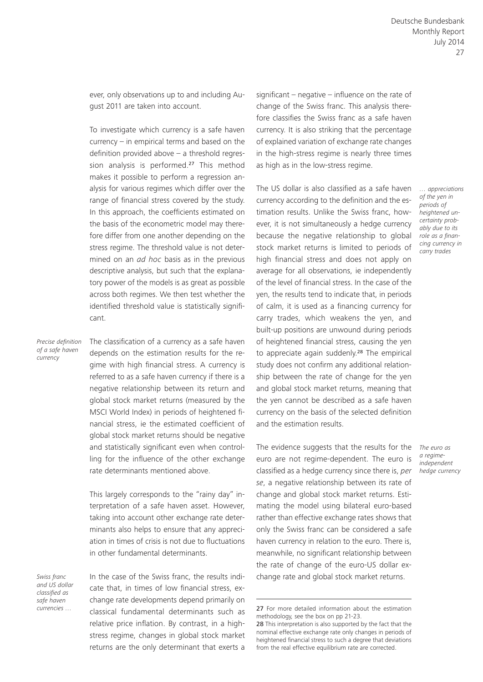ever, only observations up to and including August 2011 are taken into account.

To investigate which currency is a safe haven currency – in empirical terms and based on the definition provided above – a threshold regression analysis is performed.<sup>27</sup> This method makes it possible to perform a regression analysis for various regimes which differ over the range of financial stress covered by the study. In this approach, the coefficients estimated on the basis of the econometric model may therefore differ from one another depending on the stress regime. The threshold value is not determined on an *ad hoc* basis as in the previous descriptive analysis, but such that the explanatory power of the models is as great as possible across both regimes. We then test whether the identified threshold value is statistically significant.

*Precise definition of a safe haven currency*

The classification of a currency as a safe haven depends on the estimation results for the regime with high financial stress. A currency is referred to as a safe haven currency if there is a negative relationship between its return and global stock market returns (measured by the MSCI World Index) in periods of heightened financial stress, ie the estimated coefficient of global stock market returns should be negative and statistically significant even when controlling for the influence of the other exchange rate determinants mentioned above.

This largely corresponds to the "rainy day" interpretation of a safe haven asset. However, taking into account other exchange rate determinants also helps to ensure that any appreciation in times of crisis is not due to fluctuations in other fundamental determinants.

*Swiss franc and US dollar classified as safe haven currencies …*

In the case of the Swiss franc, the results indicate that, in times of low financial stress, exchange rate developments depend primarily on classical fundamental determinants such as relative price inflation. By contrast, in a highstress regime, changes in global stock market returns are the only determinant that exerts a

significant – negative – influence on the rate of change of the Swiss franc. This analysis therefore classifies the Swiss franc as a safe haven currency. It is also striking that the percentage of explained variation of exchange rate changes in the high-stress regime is nearly three times as high as in the low-stress regime.

The US dollar is also classified as a safe haven currency according to the definition and the estimation results. Unlike the Swiss franc, however, it is not simultaneously a hedge currency because the negative relationship to global stock market returns is limited to periods of high financial stress and does not apply on average for all observations, ie independently of the level of financial stress. In the case of the yen, the results tend to indicate that, in periods of calm, it is used as a financing currency for carry trades, which weakens the yen, and built-up positions are unwound during periods of heightened financial stress, causing the yen to appreciate again suddenly.<sup>28</sup> The empirical study does not confirm any additional relationship between the rate of change for the yen and global stock market returns, meaning that the yen cannot be described as a safe haven currency on the basis of the selected definition and the estimation results.

The evidence suggests that the results for the euro are not regime-dependent. The euro is classified as a hedge currency since there is, *per se*, a negative relationship between its rate of change and global stock market returns. Estimating the model using bilateral euro-based rather than effective exchange rates shows that only the Swiss franc can be considered a safe haven currency in relation to the euro. There is, meanwhile, no significant relationship between the rate of change of the euro-US dollar exchange rate and global stock market returns.

*… appreciations of the yen in periods of heightened uncertainty probably due to its role as a financing currency in carry trades*

*The euro as a regimeindependent hedge currency*

<sup>27</sup> For more detailed information about the estimation methodology, see the box on pp 21-23.

<sup>28</sup> This interpretation is also supported by the fact that the nominal effective exchange rate only changes in periods of heightened financial stress to such a degree that deviations from the real effective equilibrium rate are corrected.